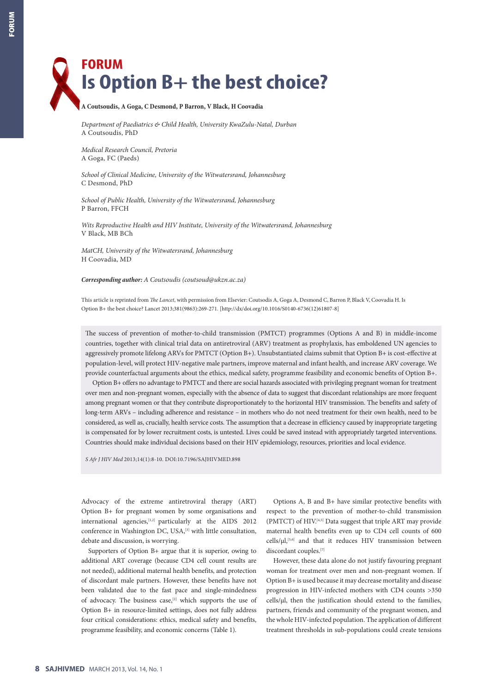## **FORUM Is Option B+ the best choice?**

## **A Coutsoudis, A Goga, C Desmond, P Barron, V Black, H Coovadia**

*Department of Paediatrics & Child Health, University KwaZulu-Natal, Durban* A Coutsoudis, PhD

*Medical Research Council, Pretoria* A Goga, FC (Paeds)

*School of Clinical Medicine, University of the Witwatersrand, Johannesburg* C Desmond, PhD

*School of Public Health, University of the Witwatersrand, Johannesburg* P Barron, FFCH

*Wits Reproductive Health and HIV Institute, University of the Witwatersrand, Johannesburg* V Black, MB BCh

*MatCH, University of the Witwatersrand, Johannesburg* H Coovadia, MD

*Corresponding author: A Coutsoudis (coutsoud@ukzn.ac.za)*

This article is reprinted from *The Lancet*, with permission from Elsevier: Coutsodis A, Goga A, Desmond C, Barron P, Black V, Coovadia H. Is Option B+ the best choice? Lancet 2013;381(9863):269-271. [http://dx/doi.org/10.1016/S0140-6736(12)61807-8]

The success of prevention of mother-to-child transmission (PMTCT) programmes (Options A and B) in middle-income countries, together with clinical trial data on antiretroviral (ARV) treatment as prophylaxis, has emboldened UN agencies to aggressively promote lifelong ARVs for PMTCT (Option B+). Unsubstantiated claims submit that Option B+ is cost-effective at population-level, will protect HIV-negative male partners, improve maternal and infant health, and increase ARV coverage. We provide counterfactual arguments about the ethics, medical safety, programme feasibility and economic benefits of Option B+.

Option B+ offers no advantage to PMTCT and there are social hazards associated with privileging pregnant woman for treatment over men and non-pregnant women, especially with the absence of data to suggest that discordant relationships are more frequent among pregnant women or that they contribute disproportionately to the horizontal HIV transmission. The benefits and safety of long-term ARVs – including adherence and resistance – in mothers who do not need treatment for their own health, need to be considered, as well as, crucially, health service costs. The assumption that a decrease in efficiency caused by inappropriate targeting is compensated for by lower recruitment costs, is untested. Lives could be saved instead with appropriately targeted interventions. Countries should make individual decisions based on their HIV epidemiology, resources, priorities and local evidence.

*S Afr J HIV Med* 2013;14(1):8-10. DOI:10.7196/SAJHIVMED.898

Advocacy of the extreme antiretroviral therapy (ART) Option B+ for pregnant women by some organisations and international agencies,[1,2] particularly at the AIDS 2012 conference in Washington DC, USA,<sup>[3]</sup> with little consultation, debate and discussion, is worrying.

Supporters of Option B+ argue that it is superior, owing to additional ART coverage (because CD4 cell count results are not needed), additional maternal health benefits, and protection of discordant male partners. However, these benefits have not been validated due to the fast pace and single-mindedness of advocacy. The business case,<sup>[2]</sup> which supports the use of Option B+ in resource-limited settings, does not fully address four critical considerations: ethics, medical safety and benefits, programme feasibility, and economic concerns (Table 1).

Options A, B and B+ have similar protective benefits with respect to the prevention of mother-to-child transmission (PMTCT) of HIV.[4,5] Data suggest that triple ART may provide maternal health benefits even up to CD4 cell counts of 600 cells/μl,[5,6] and that it reduces HIV transmission between discordant couples.<sup>[7]</sup>

However, these data alone do not justify favouring pregnant woman for treatment over men and non-pregnant women. If Option B+ is used because it may decrease mortality and disease progression in HIV-infected mothers with CD4 counts >350 cells/μl, then the justification should extend to the families, partners, friends and community of the pregnant women, and the whole HIV-infected population. The application of different treatment thresholds in sub-populations could create tensions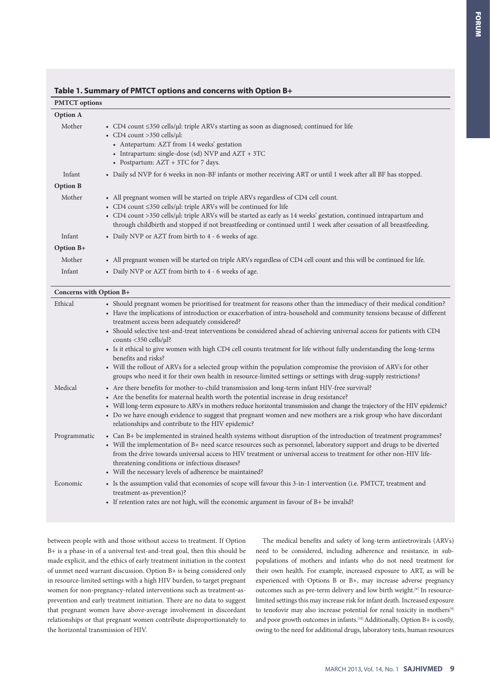| <b>PMTCT</b> options    |                                                                                                                                                                                                                                                                                                                                                                                                                |  |
|-------------------------|----------------------------------------------------------------------------------------------------------------------------------------------------------------------------------------------------------------------------------------------------------------------------------------------------------------------------------------------------------------------------------------------------------------|--|
| <b>Option A</b>         |                                                                                                                                                                                                                                                                                                                                                                                                                |  |
| Mother                  | • CD4 count $\leq$ 350 cells/ $\mu$ l: triple ARVs starting as soon as diagnosed; continued for life<br>• CD4 count >350 cells/ $\mu$ l:<br>• Antepartum: AZT from 14 weeks' gestation<br>• Intrapartum: single-dose (sd) NVP and $AZT + 3TC$<br>• Postpartum: AZT + 3TC for 7 days.                                                                                                                           |  |
| Infant                  | • Daily sd NVP for 6 weeks in non-BF infants or mother receiving ART or until 1 week after all BF has stopped.                                                                                                                                                                                                                                                                                                 |  |
| <b>Option B</b>         |                                                                                                                                                                                                                                                                                                                                                                                                                |  |
| Mother                  | • All pregnant women will be started on triple ARVs regardless of CD4 cell count.<br>• CD4 count $\leq$ 350 cells/µl: triple ARVs will be continued for life<br>• CD4 count >350 cells/ $\mu$ l: triple ARVs will be started as early as 14 weeks' gestation, continued intrapartum and<br>through childbirth and stopped if not breastfeeding or continued until 1 week after cessation of all breastfeeding. |  |
| Infant                  | • Daily NVP or AZT from birth to 4 - 6 weeks of age.                                                                                                                                                                                                                                                                                                                                                           |  |
| Option B+               |                                                                                                                                                                                                                                                                                                                                                                                                                |  |
| Mother                  | • All pregnant women will be started on triple ARVs regardless of CD4 cell count and this will be continued for life.                                                                                                                                                                                                                                                                                          |  |
| Infant                  | • Daily NVP or AZT from birth to 4 - 6 weeks of age.                                                                                                                                                                                                                                                                                                                                                           |  |
| Concerns with Option B+ |                                                                                                                                                                                                                                                                                                                                                                                                                |  |
| Ethical                 | • Should pregnant women be prioritised for treatment for reasons other than the immediacy of their medical condition?<br>• Have the implications of introduction or exacerbation of intra-household and community tensions because of different<br>treatment access been adequately considered?                                                                                                                |  |

|              | • Should selective test-and-treat interventions be considered ahead of achieving universal access for patients with CD4<br>counts <350 cells/ $\mu$ l?<br>• Is it ethical to give women with high CD4 cell counts treatment for life without fully understanding the long-terms<br>benefits and risks?<br>• Will the rollout of ARVs for a selected group within the population compromise the provision of ARVs for other<br>groups who need it for their own health in resource-limited settings or settings with drug-supply restrictions? |
|--------------|-----------------------------------------------------------------------------------------------------------------------------------------------------------------------------------------------------------------------------------------------------------------------------------------------------------------------------------------------------------------------------------------------------------------------------------------------------------------------------------------------------------------------------------------------|
| Medical      | • Are there benefits for mother-to-child transmission and long-term infant HIV-free survival?<br>• Are the benefits for maternal health worth the potential increase in drug resistance?<br>• Will long-term exposure to ARVs in mothers reduce horizontal transmission and change the trajectory of the HIV epidemic?<br>• Do we have enough evidence to suggest that pregnant women and new mothers are a risk group who have discordant<br>relationships and contribute to the HIV epidemic?                                               |
| Programmatic | • Can B+ be implemented in strained health systems without disruption of the introduction of treatment programmes?<br>• Will the implementation of B+ need scarce resources such as personnel, laboratory support and drugs to be diverted<br>from the drive towards universal access to HIV treatment or universal access to treatment for other non-HIV life-<br>threatening conditions or infectious diseases?<br>• Will the necessary levels of adherence be maintained?                                                                  |
| Economic     | • Is the assumption valid that economies of scope will favour this 3-in-1 intervention (i.e. PMTCT, treatment and<br>treatment-as-prevention)?<br>• If retention rates are not high, will the economic argument in favour of $B+$ be invalid?                                                                                                                                                                                                                                                                                                 |

## **Table 1. Summary of PMTCT options and concerns with Option B+**

between people with and those without access to treatment. If Option B+ is a phase-in of a universal test-and-treat goal, then this should be made explicit, and the ethics of early treatment initiation in the context of unmet need warrant discussion. Option B+ is being considered only in resource-limited settings with a high HIV burden, to target pregnant women for non-pregnancy-related interventions such as treatment-asprevention and early treatment initiation. There are no data to suggest that pregnant women have above-average involvement in discordant relationships or that pregnant women contribute disproportionately to the horizontal transmission of HIV.

The medical benefits and safety of long-term antiretrovirals (ARVs) need to be considered, including adherence and resistance, in subpopulations of mothers and infants who do not need treatment for their own health. For example, increased exposure to ART, as will be experienced with Options B or B+, may increase adverse pregnancy outcomes such as pre-term delivery and low birth weight.[8] In resourcelimited settings this may increase risk for infant death. Increased exposure to tenofovir may also increase potential for renal toxicity in mothers<sup>[9]</sup> and poor growth outcomes in infants.<sup>[10]</sup> Additionally, Option B+ is costly, owing to the need for additional drugs, laboratory tests, human resources